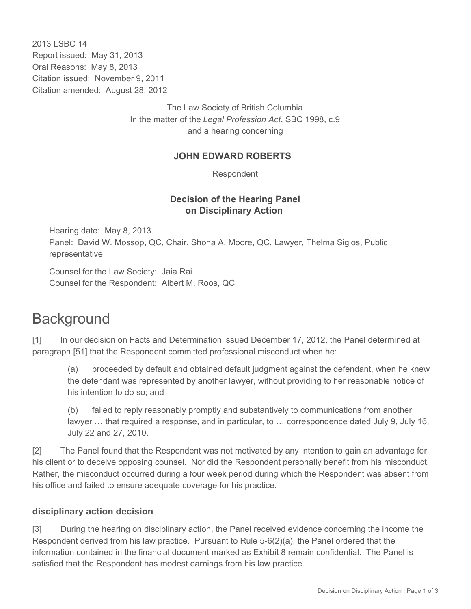2013 LSBC 14 Report issued: May 31, 2013 Oral Reasons: May 8, 2013 Citation issued: November 9, 2011 Citation amended: August 28, 2012

> The Law Society of British Columbia In the matter of the *Legal Profession Act*, SBC 1998, c.9 and a hearing concerning

#### **JOHN EDWARD ROBERTS**

Respondent

## **Decision of the Hearing Panel on Disciplinary Action**

Hearing date: May 8, 2013 Panel: David W. Mossop, QC, Chair, Shona A. Moore, QC, Lawyer, Thelma Siglos, Public representative

Counsel for the Law Society: Jaia Rai Counsel for the Respondent: Albert M. Roos, QC

# **Background**

[1] In our decision on Facts and Determination issued December 17, 2012, the Panel determined at paragraph [51] that the Respondent committed professional misconduct when he:

(a) proceeded by default and obtained default judgment against the defendant, when he knew the defendant was represented by another lawyer, without providing to her reasonable notice of his intention to do so; and

(b) failed to reply reasonably promptly and substantively to communications from another lawyer … that required a response, and in particular, to … correspondence dated July 9, July 16, July 22 and 27, 2010.

[2] The Panel found that the Respondent was not motivated by any intention to gain an advantage for his client or to deceive opposing counsel. Nor did the Respondent personally benefit from his misconduct. Rather, the misconduct occurred during a four week period during which the Respondent was absent from his office and failed to ensure adequate coverage for his practice.

#### **disciplinary action decision**

[3] During the hearing on disciplinary action, the Panel received evidence concerning the income the Respondent derived from his law practice. Pursuant to Rule  $5-6(2)(a)$ , the Panel ordered that the information contained in the financial document marked as Exhibit 8 remain confidential. The Panel is satisfied that the Respondent has modest earnings from his law practice.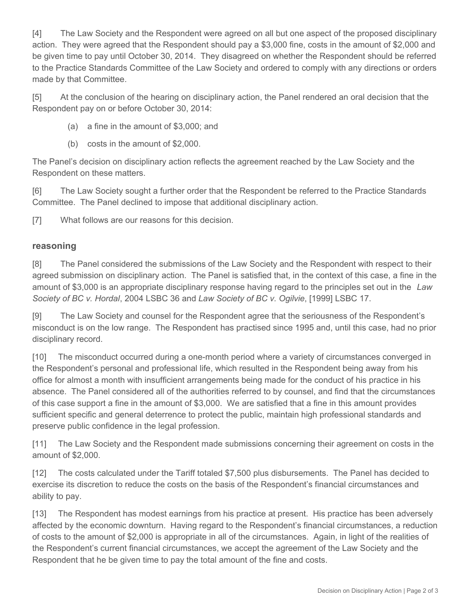[4] The Law Society and the Respondent were agreed on all but one aspect of the proposed disciplinary action. They were agreed that the Respondent should pay a \$3,000 fine, costs in the amount of \$2,000 and be given time to pay until October 30, 2014. They disagreed on whether the Respondent should be referred to the Practice Standards Committee of the Law Society and ordered to comply with any directions or orders made by that Committee.

[5] At the conclusion of the hearing on disciplinary action, the Panel rendered an oral decision that the Respondent pay on or before October 30, 2014:

- (a) a fine in the amount of \$3,000; and
- (b) costs in the amount of \$2,000.

The Panel's decision on disciplinary action reflects the agreement reached by the Law Society and the Respondent on these matters.

[6] The Law Society sought a further order that the Respondent be referred to the Practice Standards Committee. The Panel declined to impose that additional disciplinary action.

[7] What follows are our reasons for this decision.

#### **reasoning**

[8] The Panel considered the submissions of the Law Society and the Respondent with respect to their agreed submission on disciplinary action. The Panel is satisfied that, in the context of this case, a fine in the amount of \$3,000 is an appropriate disciplinary response having regard to the principles set out in the *Law Society of BC v. Hordal*, 2004 LSBC 36 and *Law Society of BC v. Ogilvie*, [1999] LSBC 17.

[9] The Law Society and counsel for the Respondent agree that the seriousness of the Respondent's misconduct is on the low range. The Respondent has practised since 1995 and, until this case, had no prior disciplinary record.

[10] The misconduct occurred during a one-month period where a variety of circumstances converged in the Respondent's personal and professional life, which resulted in the Respondent being away from his office for almost a month with insufficient arrangements being made for the conduct of his practice in his absence. The Panel considered all of the authorities referred to by counsel, and find that the circumstances of this case support a fine in the amount of \$3,000. We are satisfied that a fine in this amount provides sufficient specific and general deterrence to protect the public, maintain high professional standards and preserve public confidence in the legal profession.

[11] The Law Society and the Respondent made submissions concerning their agreement on costs in the amount of \$2,000.

[12] The costs calculated under the Tariff totaled \$7,500 plus disbursements. The Panel has decided to exercise its discretion to reduce the costs on the basis of the Respondent's financial circumstances and ability to pay.

[13] The Respondent has modest earnings from his practice at present. His practice has been adversely affected by the economic downturn. Having regard to the Respondent's financial circumstances, a reduction of costs to the amount of \$2,000 is appropriate in all of the circumstances. Again, in light of the realities of the Respondent's current financial circumstances, we accept the agreement of the Law Society and the Respondent that he be given time to pay the total amount of the fine and costs.